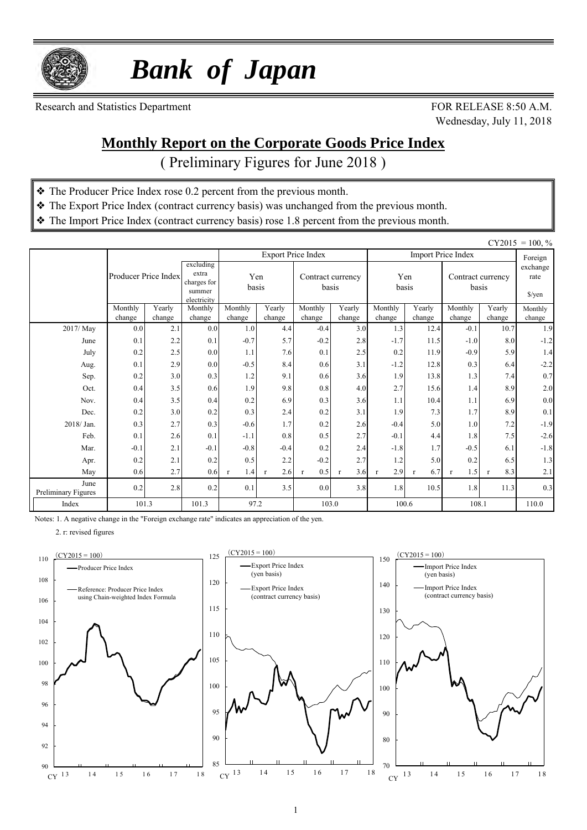

 *Bank of Japan*

Research and Statistics Department FOR RELEASE 8:50 A.M.

Wednesday, July 11, 2018

#### **Monthly Report on the Corporate Goods Price Index**

( Preliminary Figures for June 2018 )

- ❖ The Producer Price Index rose 0.2 percent from the previous month.
- ❖ The Export Price Index (contract currency basis) was unchanged from the previous month.
- ❖ The Import Price Index (contract currency basis) rose 1.8 percent from the previous month.

|                             |                      |               |                                                            |                     |                     |                           |                            |                     |                     |                            |                                     | $CY2015 = 100, \%$ |
|-----------------------------|----------------------|---------------|------------------------------------------------------------|---------------------|---------------------|---------------------------|----------------------------|---------------------|---------------------|----------------------------|-------------------------------------|--------------------|
|                             |                      |               |                                                            |                     |                     | <b>Export Price Index</b> |                            |                     |                     | <b>Import Price Index</b>  |                                     | Foreign            |
|                             | Producer Price Index |               | excluding<br>extra<br>charges for<br>summer<br>electricity | Yen<br>basis        |                     |                           | Contract currency<br>basis |                     | Yen<br>basis        | Contract currency<br>basis | exchange<br>rate<br>$\sqrt{\gamma}$ |                    |
|                             | Monthly              | Yearly        | Monthly                                                    | Monthly             | Yearly              | Monthly                   | Yearly                     | Monthly             | Yearly              | Monthly                    | Yearly                              | Monthly            |
| 2017/ May                   | change<br>0.0        | change<br>2.1 | change<br>0.0                                              | change<br>1.0       | change<br>4.4       | change<br>$-0.4$          | change<br>3.0              | change<br>1.3       | change<br>12.4      | change<br>$-0.1$           | change<br>10.7                      | change<br>1.9      |
| June                        | 0.1                  | 2.2           | 0.1                                                        | $-0.7$              | 5.7                 | $-0.2$                    | 2.8                        | $-1.7$              | 11.5                | $-1.0$                     | 8.0                                 | $-1.2$             |
| July                        | 0.2                  | 2.5           | 0.0                                                        | 1.1                 | 7.6                 | 0.1                       | 2.5                        | 0.2                 | 11.9                | $-0.9$                     | 5.9                                 | 1.4                |
| Aug.                        | 0.1                  | 2.9           | 0.0                                                        | $-0.5$              | 8.4                 | 0.6                       | 3.1                        | $-1.2$              | 12.8                | 0.3                        | 6.4                                 | $-2.2$             |
| Sep.                        | 0.2                  | 3.0           | 0.3                                                        | 1.2                 | 9.1                 | 0.6                       | 3.6                        | 1.9                 | 13.8                | 1.3                        | 7.4                                 | 0.7                |
| Oct.                        | 0.4                  | 3.5           | 0.6                                                        | 1.9                 | 9.8                 | 0.8                       | 4.0                        | 2.7                 | 15.6                | 1.4                        | 8.9                                 | $2.0\,$            |
| Nov.                        | 0.4                  | 3.5           | 0.4                                                        | 0.2                 | 6.9                 | 0.3                       | 3.6                        | 1.1                 | 10.4                | 1.1                        | 6.9                                 | $0.0\,$            |
| Dec.                        | 0.2                  | 3.0           | 0.2                                                        | 0.3                 | 2.4                 | 0.2                       | 3.1                        | 1.9                 | 7.3                 | 1.7                        | 8.9                                 | 0.1                |
| 2018/Jan.                   | 0.3                  | 2.7           | 0.3                                                        | $-0.6$              | 1.7                 | 0.2                       | 2.6                        | $-0.4$              | 5.0                 | 1.0                        | 7.2                                 | $-1.9$             |
| Feb.                        | 0.1                  | 2.6           | 0.1                                                        | $-1.1$              | 0.8                 | 0.5                       | 2.7                        | $-0.1$              | 4.4                 | 1.8                        | 7.5                                 | $-2.6$             |
| Mar.                        | $-0.1$               | 2.1           | $-0.1$                                                     | $-0.8$              | $-0.4$              | 0.2                       | 2.4                        | $-1.8$              | 1.7                 | $-0.5$                     | 6.1                                 | $-1.8$             |
| Apr.                        | 0.2                  | 2.1           | 0.2                                                        | 0.5                 | 2.2                 | $-0.2$                    | 2.7                        | 1.2                 | 5.0                 | 0.2                        | 6.5                                 | 1.3                |
| May                         | 0.6                  | 2.7           | 0.6                                                        | 1.4<br>$\mathbf{r}$ | 2.6<br>$\mathbf{r}$ | 0.5<br>$\mathbf{r}$       | 3.6<br>$\mathbf{r}$        | 2.9<br>$\mathbf{r}$ | 6.7<br>$\mathbf{r}$ | 1.5<br>$\mathbf{r}$        | 8.3<br>$\mathbf{r}$                 | 2.1                |
| June<br>Preliminary Figures | 0.2                  | 2.8           | 0.2                                                        | 0.1                 | 3.5                 | 0.0                       | 3.8                        | 1.8                 | 10.5                | 1.8                        | 11.3                                | 0.3                |
| Index                       | 101.3                |               | 101.3                                                      | 97.2                |                     | 103.0                     |                            | 100.6               |                     | 108.1                      |                                     | 110.0              |

Notes: 1. A negative change in the "Foreign exchange rate" indicates an appreciation of the yen.

2. r: revised figures

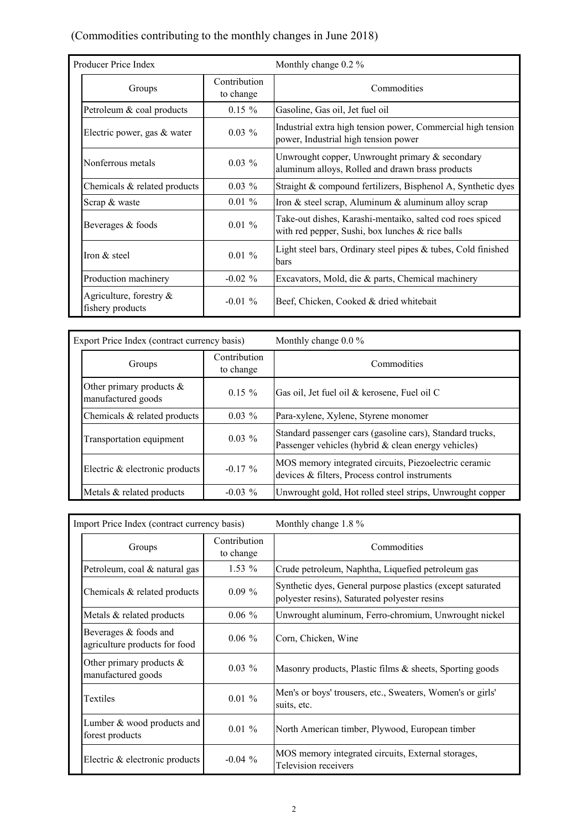#### (Commodities contributing to the monthly changes in June 2018)

| Producer Price Index                           |                           | Monthly change 0.2 %                                                                                          |  |  |  |  |  |
|------------------------------------------------|---------------------------|---------------------------------------------------------------------------------------------------------------|--|--|--|--|--|
| Groups                                         | Contribution<br>to change | Commodities                                                                                                   |  |  |  |  |  |
| Petroleum & coal products                      | $0.15 \%$                 | Gasoline, Gas oil, Jet fuel oil                                                                               |  |  |  |  |  |
| Electric power, gas & water                    | $0.03\%$                  | Industrial extra high tension power, Commercial high tension<br>power, Industrial high tension power          |  |  |  |  |  |
| Nonferrous metals                              | $0.03\%$                  | Unwrought copper, Unwrought primary $\&$ secondary<br>aluminum alloys, Rolled and drawn brass products        |  |  |  |  |  |
| Chemicals $\&$ related products                | $0.03\%$                  | Straight & compound fertilizers, Bisphenol A, Synthetic dyes                                                  |  |  |  |  |  |
| Scrap & waste                                  | $0.01 \%$                 | Iron & steel scrap, Aluminum & aluminum alloy scrap                                                           |  |  |  |  |  |
| Beverages & foods                              | $0.01\%$                  | Take-out dishes, Karashi-mentaiko, salted cod roes spiced<br>with red pepper, Sushi, box lunches & rice balls |  |  |  |  |  |
| Iron & steel                                   | $0.01 \%$                 | Light steel bars, Ordinary steel pipes $\&$ tubes, Cold finished<br>bars                                      |  |  |  |  |  |
| Production machinery                           | $-0.02 \%$                | Excavators, Mold, die & parts, Chemical machinery                                                             |  |  |  |  |  |
| Agriculture, forestry $\&$<br>fishery products | $-0.01\%$                 | Beef, Chicken, Cooked & dried whitebait                                                                       |  |  |  |  |  |

| Export Price Index (contract currency basis)      |                           | Monthly change $0.0\%$                                                                                           |  |  |  |  |  |  |
|---------------------------------------------------|---------------------------|------------------------------------------------------------------------------------------------------------------|--|--|--|--|--|--|
| Groups                                            | Contribution<br>to change | Commodities                                                                                                      |  |  |  |  |  |  |
| Other primary products $\&$<br>manufactured goods | $0.15 \%$                 | Gas oil, Jet fuel oil & kerosene, Fuel oil C                                                                     |  |  |  |  |  |  |
| Chemicals & related products                      | $0.03\%$                  | Para-xylene, Xylene, Styrene monomer                                                                             |  |  |  |  |  |  |
| Transportation equipment                          | $0.03\%$                  | Standard passenger cars (gasoline cars), Standard trucks,<br>Passenger vehicles (hybrid & clean energy vehicles) |  |  |  |  |  |  |
| Electric & electronic products                    | $-0.17\%$                 | MOS memory integrated circuits, Piezoelectric ceramic<br>devices & filters, Process control instruments          |  |  |  |  |  |  |
| Metals & related products                         | $-0.03\%$                 | Unwrought gold, Hot rolled steel strips, Unwrought copper                                                        |  |  |  |  |  |  |

| Import Price Index (contract currency basis)           |                           | Monthly change $1.8\%$                                                                                      |  |  |  |  |  |  |
|--------------------------------------------------------|---------------------------|-------------------------------------------------------------------------------------------------------------|--|--|--|--|--|--|
| Groups                                                 | Contribution<br>to change | Commodities                                                                                                 |  |  |  |  |  |  |
| Petroleum, coal & natural gas                          | $1.53\%$                  | Crude petroleum, Naphtha, Liquefied petroleum gas                                                           |  |  |  |  |  |  |
| Chemicals & related products                           | $0.09 \%$                 | Synthetic dyes, General purpose plastics (except saturated<br>polyester resins), Saturated polyester resins |  |  |  |  |  |  |
| Metals & related products                              | $0.06\%$                  | Unwrought aluminum, Ferro-chromium, Unwrought nickel                                                        |  |  |  |  |  |  |
| Beverages & foods and<br>agriculture products for food | $0.06\%$                  | Corn, Chicken, Wine                                                                                         |  |  |  |  |  |  |
| Other primary products $\&$<br>manufactured goods      | $0.03\%$                  | Masonry products, Plastic films & sheets, Sporting goods                                                    |  |  |  |  |  |  |
| Textiles                                               | $0.01 \%$                 | Men's or boys' trousers, etc., Sweaters, Women's or girls'<br>suits, etc.                                   |  |  |  |  |  |  |
| Lumber & wood products and<br>forest products          | $0.01 \%$                 | North American timber, Plywood, European timber                                                             |  |  |  |  |  |  |
| Electric & electronic products                         | $-0.04\%$                 | MOS memory integrated circuits, External storages,<br>Television receivers                                  |  |  |  |  |  |  |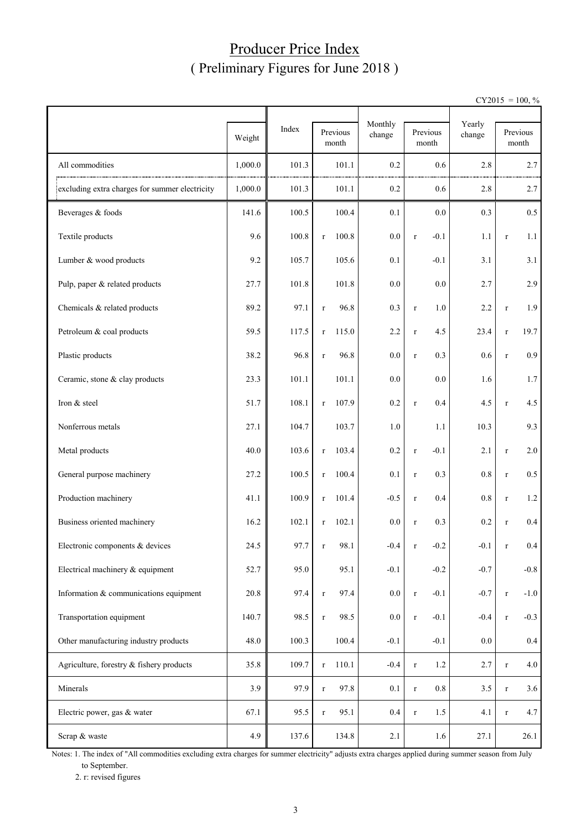## Producer Price Index ( Preliminary Figures for June 2018 )

 $CY2015 = 100, \%$ 

|                                                |         |       |                      | Monthly |                        | Yearly  |                   |         |  |
|------------------------------------------------|---------|-------|----------------------|---------|------------------------|---------|-------------------|---------|--|
|                                                | Weight  | Index | Previous<br>month    | change  | Previous<br>month      | change  | Previous<br>month |         |  |
| All commodities                                | 1,000.0 | 101.3 | 101.1                | 0.2     | 0.6                    | 2.8     |                   | 2.7     |  |
| excluding extra charges for summer electricity | 1,000.0 | 101.3 | 101.1                | 0.2     | 0.6                    | 2.8     |                   | 2.7     |  |
| Beverages & foods                              | 141.6   | 100.5 | 100.4                | 0.1     | 0.0                    | 0.3     |                   | 0.5     |  |
| Textile products                               | 9.6     | 100.8 | 100.8<br>$\mathbf r$ | 0.0     | $-0.1$<br>$\mathbf r$  | 1.1     | $\mathbf r$       | 1.1     |  |
| Lumber & wood products                         | 9.2     | 105.7 | 105.6                | 0.1     | $-0.1$                 | 3.1     |                   | 3.1     |  |
| Pulp, paper & related products                 | 27.7    | 101.8 | 101.8                | 0.0     | 0.0                    | 2.7     |                   | 2.9     |  |
| Chemicals & related products                   | 89.2    | 97.1  | 96.8<br>$\mathbf r$  | 0.3     | 1.0<br>$\mathbf r$     | 2.2     | $\mathbf r$       | 1.9     |  |
| Petroleum & coal products                      | 59.5    | 117.5 | 115.0<br>$\mathbf r$ | 2.2     | 4.5<br>$\mathbf r$     | 23.4    | $\mathbf r$       | 19.7    |  |
| Plastic products                               | 38.2    | 96.8  | 96.8<br>$\mathbf r$  | $0.0\,$ | 0.3<br>$\mathbf r$     | $0.6\,$ | $\, r$            | 0.9     |  |
| Ceramic, stone & clay products                 | 23.3    | 101.1 | 101.1                | 0.0     | 0.0                    | 1.6     |                   | 1.7     |  |
| Iron & steel                                   | 51.7    | 108.1 | 107.9<br>$\mathbf r$ | 0.2     | 0.4<br>$\mathbf r$     | 4.5     | $\mathbf r$       | 4.5     |  |
| Nonferrous metals                              | 27.1    | 104.7 | 103.7                | 1.0     | 1.1                    | 10.3    |                   | 9.3     |  |
| Metal products                                 | 40.0    | 103.6 | 103.4<br>$\mathbf r$ | 0.2     | $-0.1$<br>$\, r$       | 2.1     | $\mathbf r$       | 2.0     |  |
| General purpose machinery                      | 27.2    | 100.5 | 100.4<br>$\mathbf r$ | 0.1     | 0.3<br>$\mathbf r$     | 0.8     | $\mathbf r$       | 0.5     |  |
| Production machinery                           | 41.1    | 100.9 | 101.4<br>$\mathbf r$ | $-0.5$  | 0.4<br>$\mathbf r$     | 0.8     | $\mathbf r$       | 1.2     |  |
| Business oriented machinery                    | 16.2    | 102.1 | 102.1<br>$\mathbf r$ | 0.0     | 0.3<br>$\mathbf r$     | 0.2     | $\mathbf r$       | 0.4     |  |
| Electronic components & devices                | 24.5    | 97.7  | 98.1<br>r            | $-0.4$  | $-0.2$<br>r            | $-0.1$  |                   | 0.4     |  |
| Electrical machinery & equipment               | 52.7    | 95.0  | 95.1                 | $-0.1$  | $-0.2$                 | $-0.7$  |                   | $-0.8$  |  |
| Information & communications equipment         | 20.8    | 97.4  | 97.4<br>$\mathbf r$  | $0.0\,$ | $-0.1$<br>$\mathbf r$  | $-0.7$  | $\mathbf r$       | $-1.0$  |  |
| Transportation equipment                       | 140.7   | 98.5  | 98.5<br>$\mathbf r$  | $0.0\,$ | $-0.1$<br>$\mathbf r$  | $-0.4$  | $\mathbf r$       | $-0.3$  |  |
| Other manufacturing industry products          | 48.0    | 100.3 | 100.4                | $-0.1$  | $-0.1$                 | 0.0     |                   | $0.4\,$ |  |
| Agriculture, forestry & fishery products       | 35.8    | 109.7 | 110.1<br>$\mathbf r$ | $-0.4$  | $1.2\,$<br>$\mathbf r$ | 2.7     | $\mathbf r$       | 4.0     |  |
| Minerals                                       | 3.9     | 97.9  | 97.8<br>$\mathbf r$  | 0.1     | $0.8\,$<br>$\mathbf r$ | 3.5     | $\mathbf r$       | 3.6     |  |
| Electric power, gas & water                    | 67.1    | 95.5  | 95.1<br>$\mathbf r$  | 0.4     | 1.5<br>$\mathbf r$     | 4.1     | $\mathbf r$       | 4.7     |  |
| Scrap & waste                                  | 4.9     | 137.6 | 134.8                | 2.1     | 1.6                    | 27.1    |                   | 26.1    |  |

Notes: 1. The index of "All commodities excluding extra charges for summer electricity" adjusts extra charges applied during summer season from July to September.

2. r: revised figures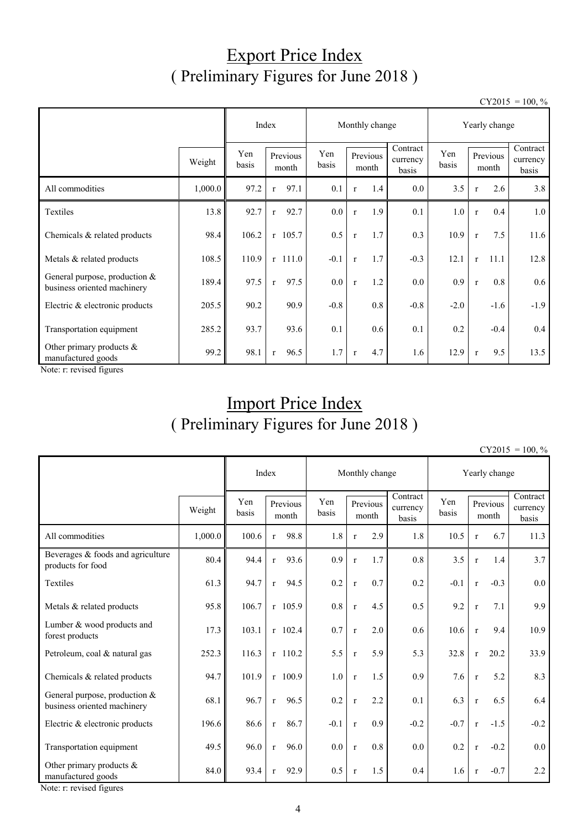## Export Price Index ( Preliminary Figures for June 2018 )

 $CY2015 = 100, \%$ 

|                                                                |         | Index        |                      | Monthly change |                                           | Yearly change |              |                      |                               |
|----------------------------------------------------------------|---------|--------------|----------------------|----------------|-------------------------------------------|---------------|--------------|----------------------|-------------------------------|
|                                                                | Weight  | Yen<br>basis | Previous<br>month    | Yen<br>basis   | Contract<br>Previous<br>currency<br>month |               | Yen<br>basis | Previous<br>month    | Contract<br>currency<br>basis |
| All commodities                                                | 1,000.0 | 97.2         | 97.1<br>$\mathbf{r}$ | 0.1            | 1.4<br>$\mathbf{r}$                       | $0.0\,$       | 3.5          | 2.6<br>$\mathbf{r}$  | 3.8                           |
| Textiles                                                       | 13.8    | 92.7         | 92.7<br>$\mathbf{r}$ | $0.0\,$        | 1.9<br>$\mathbf{r}$                       | 0.1           | 1.0          | 0.4<br>$\mathbf{r}$  | 1.0                           |
| Chemicals & related products                                   | 98.4    | 106.2        | $r$ 105.7            | 0.5            | 1.7<br>$\mathbf{r}$                       | 0.3           | 10.9         | 7.5<br>$\mathbf{r}$  | 11.6                          |
| Metals & related products                                      | 108.5   | 110.9        | $r$ 111.0            | $-0.1$         | 1.7<br>$\mathbf{r}$                       | $-0.3$        | 12.1         | 11.1<br>$\mathbf{r}$ | 12.8                          |
| General purpose, production $&$<br>business oriented machinery | 189.4   | 97.5         | 97.5<br>$\mathbf{r}$ | 0.0            | 1.2<br>$\mathbf{r}$                       | $0.0\,$       | 0.9          | 0.8<br>$\mathbf{r}$  | 0.6                           |
| Electric & electronic products                                 | 205.5   | 90.2         | 90.9                 | $-0.8$         | 0.8                                       | $-0.8$        | $-2.0$       | $-1.6$               | $-1.9$                        |
| Transportation equipment                                       | 285.2   | 93.7         | 93.6                 | 0.1            | 0.6                                       | 0.1           | 0.2          | $-0.4$               | 0.4                           |
| Other primary products $\&$<br>manufactured goods              | 99.2    | 98.1         | 96.5<br>$\mathbf{r}$ | 1.7            | 4.7<br>$\mathbf{r}$                       | 1.6           | 12.9         | 9.5<br>$\mathbf{r}$  | 13.5                          |

Note: r: revised figures

## Import Price Index ( Preliminary Figures for June 2018 )

| $CY2015 = 100, \%$ |  |
|--------------------|--|
|                    |  |

|                                                                |         |              |              | Index             |              |              | Monthly change    |                               | Yearly change |              |                   |                               |  |
|----------------------------------------------------------------|---------|--------------|--------------|-------------------|--------------|--------------|-------------------|-------------------------------|---------------|--------------|-------------------|-------------------------------|--|
|                                                                | Weight  | Yen<br>basis |              | Previous<br>month | Yen<br>basis |              | Previous<br>month | Contract<br>currency<br>basis | Yen<br>basis  |              | Previous<br>month | Contract<br>currency<br>basis |  |
| All commodities                                                | 1,000.0 | 100.6        | $\mathbf r$  | 98.8              | 1.8          | $\mathbf{r}$ | 2.9               | 1.8                           | 10.5          | $\mathbf{r}$ | 6.7               | 11.3                          |  |
| Beverages & foods and agriculture<br>products for food         | 80.4    | 94.4         | $\mathbf{r}$ | 93.6              | 0.9          | $\mathbf{r}$ | 1.7               | 0.8                           | 3.5           | $\mathbf{r}$ | 1.4               | 3.7                           |  |
| <b>Textiles</b>                                                | 61.3    | 94.7         | r            | 94.5              | 0.2          | $\mathbf{r}$ | 0.7               | 0.2                           | $-0.1$        | $\mathbf r$  | $-0.3$            | 0.0                           |  |
| Metals & related products                                      | 95.8    | 106.7        |              | $r$ 105.9         | 0.8          | $\mathbf{r}$ | 4.5               | 0.5                           | 9.2           | $\mathbf{r}$ | 7.1               | 9.9                           |  |
| Lumber & wood products and<br>forest products                  | 17.3    | 103.1        |              | $r$ 102.4         | 0.7          | $\mathbf{r}$ | 2.0               | 0.6                           | 10.6          | $\mathbf r$  | 9.4               | 10.9                          |  |
| Petroleum, coal & natural gas                                  | 252.3   | 116.3        |              | $r$ 110.2         | 5.5          | $\mathbf{r}$ | 5.9               | 5.3                           | 32.8          | $\mathbf{r}$ | 20.2              | 33.9                          |  |
| Chemicals & related products                                   | 94.7    | 101.9        |              | $r$ 100.9         | 1.0          | $\mathbf{r}$ | 1.5               | 0.9                           | 7.6           | $\mathbf{r}$ | 5.2               | 8.3                           |  |
| General purpose, production $&$<br>business oriented machinery | 68.1    | 96.7         | $\mathbf r$  | 96.5              | 0.2          | $\mathbf{r}$ | 2.2               | 0.1                           | 6.3           | $\mathbf{r}$ | 6.5               | 6.4                           |  |
| Electric & electronic products                                 | 196.6   | 86.6         | $\mathbf{r}$ | 86.7              | $-0.1$       | $\mathbf{r}$ | 0.9               | $-0.2$                        | $-0.7$        | $\mathbf{r}$ | $-1.5$            | $-0.2$                        |  |
| Transportation equipment                                       | 49.5    | 96.0         | $\mathbf{r}$ | 96.0              | 0.0          | $\mathbf{r}$ | 0.8               | 0.0                           | 0.2           | $\mathbf{r}$ | $-0.2$            | 0.0                           |  |
| Other primary products &<br>manufactured goods                 | 84.0    | 93.4         | $\mathbf r$  | 92.9              | 0.5          | $\mathbf r$  | 1.5               | 0.4                           | 1.6           | $\mathbf{r}$ | $-0.7$            | 2.2                           |  |

Note: r: revised figures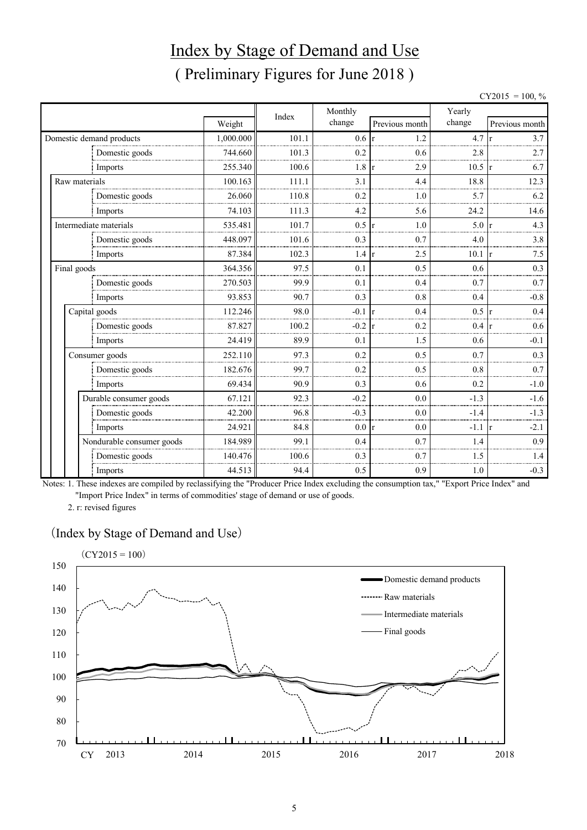# Index by Stage of Demand and Use ( Preliminary Figures for June 2018 )

 $CY2015 = 100, \%$ 

|               |                           |           | Index | Monthly |                     | Yearly |                |  |  |
|---------------|---------------------------|-----------|-------|---------|---------------------|--------|----------------|--|--|
|               |                           | Weight    |       | change  | Previous month      | change | Previous month |  |  |
|               | Domestic demand products  | 1,000.000 | 101.1 | 0.6     | 1.2<br>$\mathbf{r}$ | 4.7    | 3.7            |  |  |
|               | Domestic goods            | 744.660   | 101.3 | 0.2     | 0.6                 | 2.8    | 2.7            |  |  |
|               | Imports                   | 255.340   | 100.6 | 1.8     | 2.9<br>$\mathbf{r}$ | 10.5   | 6.7            |  |  |
| Raw materials |                           | 100.163   | 111.1 | 3.1     | 4.4                 | 18.8   | 12.3           |  |  |
|               | Domestic goods            | 26.060    | 110.8 | 0.2     | 1.0                 | 5.7    | 6.2            |  |  |
|               | Imports                   | 74.103    | 111.3 | 4.2     | 5.6                 | 24.2   | 14.6           |  |  |
|               | Intermediate materials    | 535.481   | 101.7 | 0.5     | 1.0<br>$\mathbf{r}$ | 5.0    | 4.3            |  |  |
|               | Domestic goods            | 448.097   | 101.6 | 0.3     | 0.7                 | 4.0    | 3.8            |  |  |
|               | Imports                   | 87.384    | 102.3 | 1.4     | 2.5<br>$\mathbf{r}$ | 10.1   | 7.5<br>l r     |  |  |
| Final goods   |                           | 364.356   | 97.5  | 0.1     | 0.5                 | 0.6    | 0.3            |  |  |
|               | Domestic goods            | 270.503   | 99.9  | 0.1     | 0.4                 | 0.7    | 0.7            |  |  |
|               | Imports                   | 93.853    | 90.7  | 0.3     | 0.8                 | 0.4    | $-0.8$         |  |  |
|               | Capital goods             | 112.246   | 98.0  | $-0.1$  | 0.4<br>$\mathsf{r}$ | 0.5    | 0.4            |  |  |
|               | Domestic goods            | 87.827    | 100.2 | $-0.2$  | 0.2<br>r            | 0.4    | 0.6            |  |  |
|               | Imports                   | 24.419    | 89.9  | 0.1     | 1.5                 | 0.6    | $-0.1$         |  |  |
|               | Consumer goods            | 252.110   | 97.3  | 0.2     | 0.5                 | 0.7    | 0.3            |  |  |
|               | Domestic goods            | 182.676   | 99.7  | 0.2     | 0.5                 | 0.8    | 0.7            |  |  |
|               | Imports                   | 69.434    | 90.9  | 0.3     | 0.6                 | 0.2    | $-1.0$         |  |  |
|               | Durable consumer goods    | 67.121    | 92.3  | $-0.2$  | 0.0                 | $-1.3$ | $-1.6$         |  |  |
|               | Domestic goods            | 42.200    | 96.8  | $-0.3$  | 0.0                 | $-1.4$ | $-1.3$         |  |  |
|               | Imports                   | 24.921    | 84.8  | 0.0 r   | 0.0                 | $-1.1$ | $-2.1$         |  |  |
|               | Nondurable consumer goods | 184.989   | 99.1  | 0.4     | 0.7                 | 1.4    | 0.9            |  |  |
|               | Domestic goods            | 140.476   | 100.6 | 0.3     | 0.7                 | 1.5    | 1.4            |  |  |
|               | Imports                   | 44.513    | 94.4  | 0.5     | 0.9                 | 1.0    | $-0.3$         |  |  |

Notes: 1. These indexes are compiled by reclassifying the "Producer Price Index excluding the consumption tax," "Export Price Index" and "Import Price Index" in terms of commodities' stage of demand or use of goods.

2. r: revised figures

#### (Index by Stage of Demand and Use)

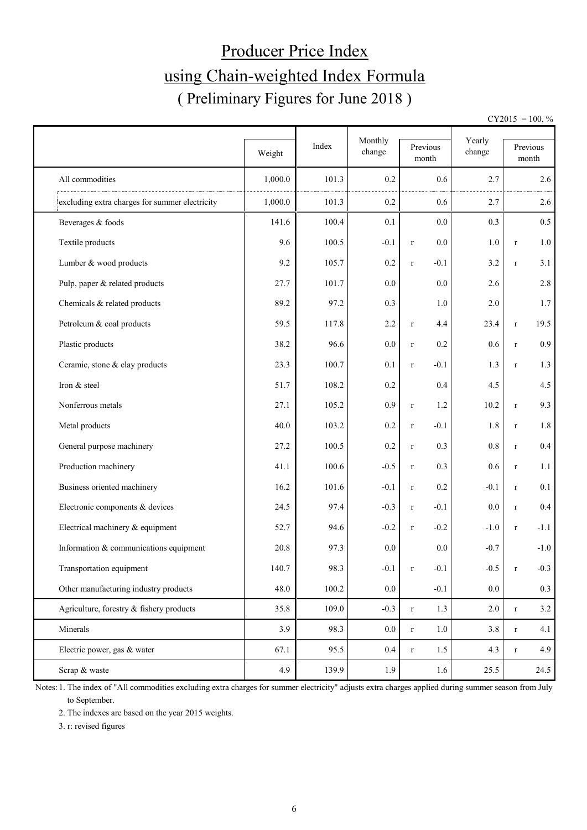# Producer Price Index using Chain-weighted Index Formula ( Preliminary Figures for June 2018 )

 $CY2015 = 100, \%$ 

|                                                | Weight  | Index | Monthly<br>change | Previous<br>month     | Yearly<br>change |              | Previous<br>month |
|------------------------------------------------|---------|-------|-------------------|-----------------------|------------------|--------------|-------------------|
| All commodities                                | 1,000.0 | 101.3 | 0.2               | 0.6                   | 2.7              |              | 2.6               |
| excluding extra charges for summer electricity | 1,000.0 | 101.3 | 0.2               | 0.6                   | 2.7              |              | 2.6               |
| Beverages & foods                              | 141.6   | 100.4 | 0.1               | 0.0                   | 0.3              |              | 0.5               |
| Textile products                               | 9.6     | 100.5 | $-0.1$            | 0.0<br>$\mathbf r$    | 1.0              | $\mathbf r$  | 1.0               |
| Lumber & wood products                         | 9.2     | 105.7 | $0.2\,$           | $-0.1$<br>$\mathbf r$ | 3.2              | $\mathbf r$  | 3.1               |
| Pulp, paper & related products                 | 27.7    | 101.7 | 0.0               | 0.0                   | 2.6              |              | $2.8\,$           |
| Chemicals & related products                   | 89.2    | 97.2  | 0.3               | 1.0                   | 2.0              |              | 1.7               |
| Petroleum & coal products                      | 59.5    | 117.8 | 2.2               | 4.4<br>$\mathbf r$    | 23.4             | $\mathbf r$  | 19.5              |
| Plastic products                               | 38.2    | 96.6  | 0.0               | 0.2<br>$\mathbf r$    | 0.6              | $\mathbf r$  | 0.9               |
| Ceramic, stone & clay products                 | 23.3    | 100.7 | 0.1               | $-0.1$<br>$\mathbf r$ | 1.3              | $\mathbf r$  | 1.3               |
| Iron & steel                                   | 51.7    | 108.2 | 0.2               | 0.4                   | 4.5              |              | 4.5               |
| Nonferrous metals                              | 27.1    | 105.2 | 0.9               | 1.2<br>$\mathbf r$    | 10.2             | $\mathbf r$  | 9.3               |
| Metal products                                 | 40.0    | 103.2 | $0.2\,$           | $-0.1$<br>$\mathbf r$ | 1.8              | $\mathbf r$  | 1.8               |
| General purpose machinery                      | 27.2    | 100.5 | $0.2\,$           | 0.3<br>$\mathbf r$    | $0.8\,$          | $\mathbf r$  | $0.4\,$           |
| Production machinery                           | 41.1    | 100.6 | $-0.5$            | 0.3<br>$\mathbf r$    | 0.6              | $\mathbf r$  | 1.1               |
| Business oriented machinery                    | 16.2    | 101.6 | $-0.1$            | 0.2<br>$\mathbf r$    | $-0.1$           | $\mathbf r$  | 0.1               |
| Electronic components & devices                | 24.5    | 97.4  | $-0.3$            | $-0.1$<br>$\mathbf r$ | 0.0              | $\mathbf r$  | 0.4               |
| Electrical machinery & equipment               | 52.7    | 94.6  | $-0.2$            | $-0.2$<br>$\mathbf r$ | $-1.0$           | $\mathbf{r}$ | $-1.1$            |
| Information & communications equipment         | 20.8    | 97.3  | 0.0               | 0.0                   | $-0.7$           |              | $-1.0$            |
| Transportation equipment                       | 140.7   | 98.3  | $-0.1$            | $\mathbf r$<br>$-0.1$ | $-0.5$           | $\mathbf r$  | $-0.3$            |
| Other manufacturing industry products          | 48.0    | 100.2 | $0.0\,$           | $-0.1$                | $0.0\,$          |              | 0.3               |
| Agriculture, forestry & fishery products       | 35.8    | 109.0 | $-0.3$            | 1.3<br>$\mathbf r$    | $2.0\,$          | $\mathbf r$  | 3.2               |
| Minerals                                       | 3.9     | 98.3  | $0.0\,$           | 1.0<br>$\mathbf r$    | 3.8              | $\mathbf r$  | 4.1               |
| Electric power, gas & water                    | 67.1    | 95.5  | $0.4\,$           | 1.5<br>$\mathbf r$    | 4.3              | $\mathbf r$  | 4.9               |
| Scrap & waste                                  | 4.9     | 139.9 | 1.9               | 1.6                   | 25.5             |              | 24.5              |

Notes: 1. The index of "All commodities excluding extra charges for summer electricity" adjusts extra charges applied during summer season from July to September.

2. The indexes are based on the year 2015 weights.

3. r: revised figures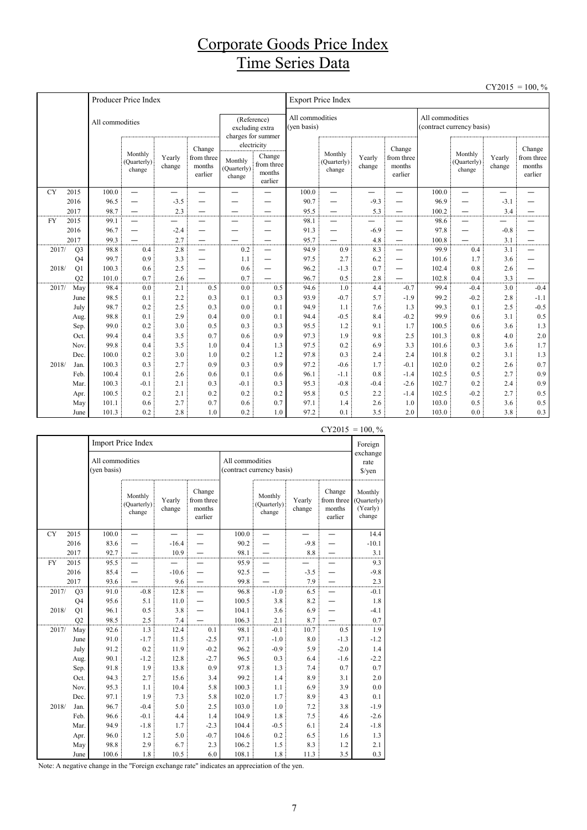## Corporate Goods Price Index Time Series Data

| $CY2015 = 100, \%$ |
|--------------------|
|--------------------|

|           |                |                 | Producer Price Index             |                          |                                           |                                  |                                                                     |                                | <b>Export Price Index</b>        |                  |                                           |                                              |                                  |                  |                                           |  |
|-----------|----------------|-----------------|----------------------------------|--------------------------|-------------------------------------------|----------------------------------|---------------------------------------------------------------------|--------------------------------|----------------------------------|------------------|-------------------------------------------|----------------------------------------------|----------------------------------|------------------|-------------------------------------------|--|
|           |                | All commodities |                                  |                          |                                           |                                  | (Reference)<br>excluding extra<br>charges for summer<br>electricity | All commodities<br>(yen basis) |                                  |                  |                                           | All commodities<br>(contract currency basis) |                                  |                  |                                           |  |
|           |                |                 | Monthly<br>(Quarterly)<br>change | Yearly<br>change         | Change<br>from three<br>months<br>earlier | Monthly<br>(Quarterly)<br>change | Change<br>from three<br>months<br>earlier                           |                                | Monthly<br>(Quarterly)<br>change | Yearly<br>change | Change<br>from three<br>months<br>earlier |                                              | Monthly<br>(Quarterly)<br>change | Yearly<br>change | Change<br>from three<br>months<br>earlier |  |
| <b>CY</b> | 2015           | 100.0           | $\overline{\phantom{0}}$         | $\overline{\phantom{0}}$ |                                           |                                  |                                                                     | 100.0                          | $\equiv$                         |                  | —                                         | 100.0                                        | $\equiv$                         | —                |                                           |  |
|           | 2016           | 96.5            | $\overline{\phantom{0}}$         | $-3.5$                   | —                                         |                                  | —                                                                   | 90.7                           | -                                | $-9.3$           | -                                         | 96.9                                         | —                                | $-3.1$           |                                           |  |
|           | 2017           | 98.7            | $\overline{\phantom{0}}$         | 2.3                      |                                           |                                  |                                                                     | 95.5                           |                                  | 5.3              | —                                         | 100.2                                        |                                  | 3.4              |                                           |  |
| <b>FY</b> | 2015           | 99.1            | $\overline{\phantom{0}}$         |                          |                                           |                                  |                                                                     | 98.1                           | $\overline{\phantom{0}}$         |                  |                                           | 98.6                                         | —                                |                  |                                           |  |
|           | 2016           | 96.7            | $\overline{\phantom{0}}$         | $-2.4$                   |                                           |                                  |                                                                     | 91.3                           | -                                | $-6.9$           |                                           | 97.8                                         | $\overline{\phantom{0}}$         | $-0.8$           |                                           |  |
|           | 2017           | 99.3            |                                  | 2.7                      | —                                         |                                  |                                                                     | 95.7                           |                                  | 4.8              | —                                         | 100.8                                        |                                  | 3.1              |                                           |  |
| 2017/     | Q <sub>3</sub> | 98.8            | 0.4                              | 2.8                      | $\overline{\phantom{0}}$                  | 0.2                              | —                                                                   | 94.9                           | 0.9                              | 8.3              | -                                         | 99.9                                         | 0.4                              | 3.1              |                                           |  |
|           | Q <sub>4</sub> | 99.7            | 0.9                              | 3.3                      | —                                         | 1.1                              | $\overline{\phantom{0}}$                                            | 97.5                           | 2.7                              | 6.2              | -                                         | 101.6                                        | 1.7                              | 3.6              |                                           |  |
| 2018/     | Q1             | 100.3           | 0.6                              | 2.5                      | —                                         | 0.6                              | $\overline{\phantom{0}}$                                            | 96.2                           | $-1.3$                           | 0.7              | -                                         | 102.4                                        | 0.8                              | 2.6              |                                           |  |
|           | Q2             | 101.0           | 0.7                              | 2.6                      |                                           | 0.7                              |                                                                     | 96.7                           | 0.5                              | 2.8              |                                           | 102.8                                        | 0.4                              | 3.3              |                                           |  |
|           | 2017/<br>May   | 98.4            | 0.0                              | 2.1                      | 0.5                                       | 0.0                              | 0.5                                                                 | 94.6                           | 1.0                              | 4.4              | $-0.7$                                    | 99.4                                         | $-0.4$                           | 3.0              | $-0.4$                                    |  |
|           | June           | 98.5            | 0.1                              | 2.2                      | 0.3                                       | 0.1                              | 0.3                                                                 | 93.9                           | $-0.7$                           | 5.7              | $-1.9$                                    | 99.2                                         | $-0.2$                           | 2.8              | $-1.1$                                    |  |
|           | July           | 98.7            | 0.2                              | 2.5                      | 0.3                                       | 0.0                              | 0.1                                                                 | 94.9                           | 1.1                              | 7.6              | 1.3                                       | 99.3                                         | 0.1                              | 2.5              | $-0.5$                                    |  |
|           | Aug.           | 98.8            | 0.1                              | 2.9                      | 0.4                                       | 0.0                              | 0.1                                                                 | 94.4                           | $-0.5$                           | 8.4              | $-0.2$                                    | 99.9                                         | 0.6                              | 3.1              | 0.5                                       |  |
|           | Sep.           | 99.0            | 0.2                              | 3.0                      | 0.5                                       | 0.3                              | 0.3                                                                 | 95.5                           | 1.2                              | 9.1              | 1.7                                       | 100.5                                        | 0.6                              | 3.6              | 1.3                                       |  |
|           | Oct.           | 99.4            | 0.4                              | 3.5                      | 0.7                                       | 0.6                              | 0.9                                                                 | 97.3                           | 1.9                              | 9.8              | 2.5                                       | 101.3                                        | 0.8                              | 4.0              | 2.0                                       |  |
|           | Nov.           | 99.8            | 0.4                              | 3.5                      | 1.0                                       | 0.4                              | 1.3                                                                 | 97.5                           | 0.2                              | 6.9              | 3.3                                       | 101.6                                        | 0.3                              | 3.6              | 1.7                                       |  |
|           | Dec.           | 100.0           | 0.2                              | 3.0                      | 1.0                                       | 0.2                              | 1.2                                                                 | 97.8                           | 0.3                              | 2.4              | 2.4                                       | 101.8                                        | 0.2                              | 3.1              | 1.3                                       |  |
| 2018/     | Jan.           | 100.3           | 0.3                              | 2.7                      | 0.9                                       | 0.3                              | 0.9                                                                 | 97.2                           | $-0.6$                           | 1.7              | $-0.1$                                    | 102.0                                        | 0.2                              | 2.6              | 0.7                                       |  |
|           | Feb.           | 100.4           | 0.1                              | 2.6                      | 0.6                                       | 0.1                              | 0.6                                                                 | 96.1                           | $-1.1$                           | 0.8              | $-1.4$                                    | 102.5                                        | 0.5                              | 2.7              | 0.9                                       |  |
|           | Mar.           | 100.3           | $-0.1$                           | 2.1                      | 0.3                                       | $-0.1$                           | 0.3                                                                 | 95.3                           | $-0.8$                           | $-0.4$           | $-2.6$                                    | 102.7                                        | 0.2                              | 2.4              | 0.9                                       |  |
|           | Apr.           | 100.5           | 0.2                              | 2.1                      | 0.2                                       | 0.2                              | 0.2                                                                 | 95.8                           | 0.5                              | 2.2              | $-1.4$                                    | 102.5                                        | $-0.2$                           | 2.7              | 0.5                                       |  |
|           | May            | 101.1           | 0.6                              | 2.7                      | 0.7                                       | 0.6                              | 0.7                                                                 | 97.1                           | 1.4                              | 2.6              | 1.0                                       | 103.0                                        | 0.5                              | 3.6              | 0.5                                       |  |
|           | June           | 101.3           | 0.2                              | 2.8                      | 1.0                                       | 0.2                              | 1.0                                                                 | 97.2                           | 0.1                              | 3.5              | 2.0                                       | 103.0                                        | 0.0                              | 3.8              | 0.3                                       |  |

|           |       | Import Price Index     |                                |                                  |                  |                                           |                                              |                                  |                  |                                           | 100, 70<br>Foreign                           |
|-----------|-------|------------------------|--------------------------------|----------------------------------|------------------|-------------------------------------------|----------------------------------------------|----------------------------------|------------------|-------------------------------------------|----------------------------------------------|
|           |       |                        | All commodities<br>(yen basis) |                                  |                  |                                           | All commodities<br>(contract currency basis) |                                  |                  |                                           | exchange<br>rate<br>\$/yen                   |
|           |       |                        |                                | Monthly<br>(Quarterly)<br>change | Yearly<br>change | Change<br>from three<br>months<br>earlier |                                              | Monthly<br>(Quarterly)<br>change | Yearly<br>change | Change<br>from three<br>months<br>earlier | Monthly<br>(Quarterly)<br>(Yearly)<br>change |
| <b>CY</b> |       | 2015                   | 100.0                          |                                  |                  |                                           | 100.0                                        |                                  |                  |                                           | 14.4                                         |
|           |       | 2016                   | 83.6                           |                                  | $-16.4$          |                                           | 90.2                                         |                                  | $-9.8$           |                                           | $-10.1$                                      |
|           |       | 2017                   | 92.7                           |                                  | 10.9             |                                           | 98.1                                         |                                  | 8.8              |                                           | 3.1                                          |
| <b>FY</b> |       | 2015                   | 95.5                           |                                  |                  |                                           | 95.9                                         |                                  |                  |                                           | 9.3                                          |
|           |       | 2016                   | 85.4                           |                                  | $-10.6$          |                                           | 92.5                                         |                                  | $-3.5$           |                                           | $-9.8$                                       |
|           |       | 2017<br>Q <sub>3</sub> | 93.6                           |                                  | 9.6              |                                           | 99.8                                         |                                  | 7.9              |                                           | 2.3                                          |
|           | 2017/ |                        | 91.0                           | $-0.8$                           | 12.8             |                                           | 96.8                                         | $-1.0$                           | 6.5              |                                           | $-0.1$                                       |
|           |       | Q <sub>4</sub>         | 95.6                           | 5.1                              | 11.0             |                                           | 100.5                                        | 3.8                              | 8.2              |                                           | 1.8                                          |
|           | 2018/ | Q1                     | 96.1                           | 0.5                              | 3.8              |                                           | 104.1                                        | 3.6                              | 6.9              |                                           | $-4.1$                                       |
|           |       | Q2                     | 98.5                           | 2.5                              | 7.4              |                                           | 106.3                                        | 2.1                              | 8.7              |                                           | $0.7\,$                                      |
|           | 2017/ | May                    | 92.6                           | 1.3                              | 12.4             | 0.1                                       | 98.1                                         | $-0.1$                           | 10.7             | 0.5                                       | 1.9                                          |
|           |       | June                   | 91.0                           | $-1.7$                           | 11.5             | $-2.5$                                    | 97.1                                         | $-1.0$                           | $8.0\,$          | $-1.3$                                    | $-1.2$                                       |
|           |       | July                   | 91.2                           | 0.2                              | 11.9             | $-0.2$                                    | 96.2                                         | $-0.9$                           | 5.9              | $-2.0$                                    | 1.4                                          |
|           |       | Aug.                   | 90.1                           | $-1.2$                           | 12.8             | $-2.7$                                    | 96.5                                         | 0.3                              | 6.4              | $-1.6$                                    | $-2.2$                                       |
|           |       | Sep.                   | 91.8                           | 1.9                              | 13.8             | 0.9                                       | 97.8                                         | 1.3                              | 7.4              | 0.7                                       | 0.7                                          |
|           |       | Oct.                   | 94.3                           | 2.7                              | 15.6             | 3.4                                       | 99.2                                         | 1.4                              | 8.9              | 3.1                                       | 2.0                                          |
|           |       | Nov.                   | 95.3                           | 1.1                              | 10.4             | 5.8                                       | 100.3                                        | 1.1                              | 6.9              | 3.9                                       | 0.0                                          |
|           |       | Dec.                   | 97.1                           | 1.9                              | 7.3              | 5.8                                       | 102.0                                        | 1.7                              | 8.9              | 4.3                                       | 0.1                                          |
|           | 2018/ | Jan.                   | 96.7                           | $-0.4$                           | 5.0              | 2.5                                       | 103.0                                        | 1.0                              | 7.2              | 3.8                                       | $-1.9$                                       |
|           |       | Feb.                   | 96.6                           | $-0.1$                           | 4.4              | 1.4                                       | 104.9                                        | 1.8                              | 7.5              | 4.6                                       | $-2.6$                                       |
|           |       | Mar.                   | 94.9                           | $-1.8$                           | 1.7              | $-2.3$                                    | 104.4                                        | $-0.5$                           | 6.1              | 2.4                                       | $-1.8$                                       |
|           |       | Apr.                   | 96.0                           | 1.2                              | 5.0              | $-0.7$                                    | 104.6                                        | 0.2                              | 6.5              | 1.6                                       | 1.3                                          |
|           |       | May                    | 98.8                           | 2.9                              | 6.7              | 2.3                                       | 106.2                                        | 1.5                              | 8.3              | 1.2                                       | 2.1                                          |
|           |       | June                   | 100.6                          | 1.8                              | 10.5             | 6.0                                       | 108.1                                        | 1.8                              | 11.3             | 3.5                                       | 0.3                                          |

 $CY2015 = 100. %$ 

Note: A negative change in the "Foreign exchange rate" indicates an appreciation of the yen.